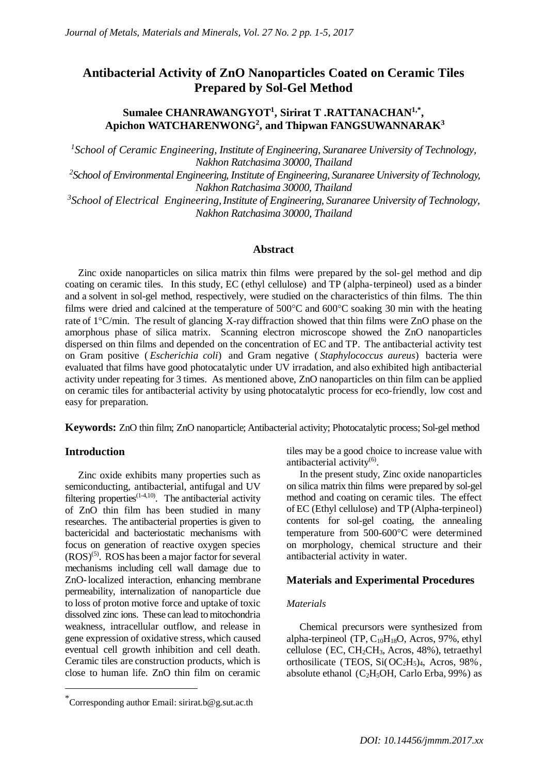# **Antibacterial Activity of ZnO Nanoparticles Coated on Ceramic Tiles Prepared by Sol-Gel Method**

## **Sumalee CHANRAWANGYOT<sup>1</sup> , Sirirat T .RATTANACHAN1,\* , Apichon WATCHARENWONG<sup>2</sup> , and Thipwan FANGSUWANNARAK<sup>3</sup>**

*1 School of Ceramic Engineering, Institute of Engineering, Suranaree University of Technology, Nakhon Ratchasima 30000, Thailand*

*2 School of Environmental Engineering, Institute of Engineering, Suranaree University of Technology, Nakhon Ratchasima 30000, Thailand*

*3 School of Electrical Engineering, Institute of Engineering, Suranaree University of Technology, Nakhon Ratchasima 30000, Thailand*

## **Abstract**

Zinc oxide nanoparticles on silica matrix thin films were prepared by the sol-gel method and dip coating on ceramic tiles. In this study, EC (ethyl cellulose) and TP (alpha-terpineol) used as a binder and a solvent in sol-gel method, respectively, were studied on the characteristics of thin films. The thin films were dried and calcined at the temperature of  $500^{\circ}$ C and  $600^{\circ}$ C soaking 30 min with the heating rate of 1°C/min. The result of glancing X-ray diffraction showed that thin films were ZnO phase on the amorphous phase of silica matrix. Scanning electron microscope showed the ZnO nanoparticles dispersed on thin films and depended on the concentration of EC and TP. The antibacterial activity test on Gram positive ( *Escherichia coli*) and Gram negative ( *Staphylococcus aureus*) bacteria were evaluated that films have good photocatalytic under UV irradation, and also exhibited high antibacterial activity under repeating for 3 times. As mentioned above, ZnO nanoparticles on thin film can be applied on ceramic tiles for antibacterial activity by using photocatalytic process for eco-friendly, low cost and easy for preparation.

**Keywords:** ZnO thin film; ZnO nanoparticle; Antibacterial activity; Photocatalytic process; Sol-gel method

## **Introduction**

 $\overline{a}$ 

Zinc oxide exhibits many properties such as semiconducting, antibacterial, antifugal and UV filtering properties $(1-4,10)$ . The antibacterial activity of ZnO thin film has been studied in many researches. The antibacterial properties is given to bactericidal and bacteriostatic mechanisms with focus on generation of reactive oxygen species  $(ROS)^{(5)}$ . ROS has been a major factor for several mechanisms including cell wall damage due to ZnO-localized interaction, enhancing membrane permeability, internalization of nanoparticle due to loss of proton motive force and uptake of toxic dissolved zinc ions. These can lead to mitochondria weakness, intracellular outflow, and release in gene expression of oxidative stress, which caused eventual cell growth inhibition and cell death. Ceramic tiles are construction products, which is close to human life. ZnO thin film on ceramic tiles may be a good choice to increase value with antibacterial activity $^{(6)}$ .

In the present study, Zinc oxide nanoparticles on silica matrix thin films were prepared by sol-gel method and coating on ceramic tiles. The effect of EC (Ethyl cellulose) and TP (Alpha-terpineol) contents for sol-gel coating, the annealing temperature from 500-600°C were determined on morphology, chemical structure and their antibacterial activity in water.

#### **Materials and Experimental Procedures**

#### *Materials*

Chemical precursors were synthesized from alpha-terpineol (TP,  $C_{10}H_{18}O$ , Acros, 97%, ethyl cellulose (EC,  $CH<sub>2</sub>CH<sub>3</sub>$ , Acros, 48%), tetraethyl orthosilicate (TEOS,  $Si(OC<sub>2</sub>H<sub>5</sub>)<sub>4</sub>$ , Acros, 98%, absolute ethanol (C<sub>2</sub>H<sub>5</sub>OH, Carlo Erba, 99%) as

<sup>\*</sup>Corresponding author Email: [sirirat.b@g.sut.ac.th](mailto:sirirat.b@g.sut.ac.th)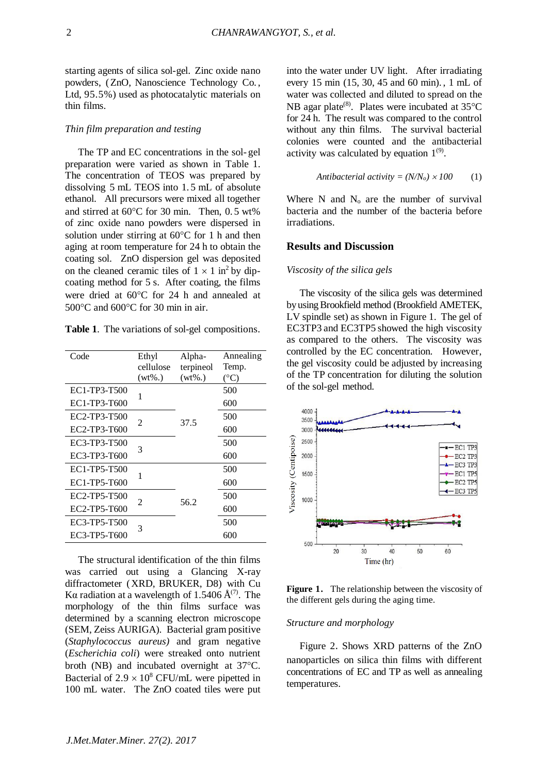starting agents of silica sol-gel. Zinc oxide nano powders, (ZnO, Nanoscience Technology Co. , Ltd, 95.5%) used as photocatalytic materials on thin films.

#### *Thin film preparation and testing*

The TP and EC concentrations in the sol- gel preparation were varied as shown in Table 1. The concentration of TEOS was prepared by dissolving 5 mL TEOS into 1. 5 mL of absolute ethanol. All precursors were mixed all together and stirred at  $60^{\circ}$ C for 30 min. Then, 0.5 wt% of zinc oxide nano powders were dispersed in solution under stirring at  $60^{\circ}$ C for 1 h and then aging at room temperature for 24 h to obtain the coating sol. ZnO dispersion gel was deposited on the cleaned ceramic tiles of  $1 \times 1$  in<sup>2</sup> by dipcoating method for 5 s. After coating, the films were dried at  $60^{\circ}$ C for 24 h and annealed at  $500^{\circ}$ C and  $600^{\circ}$ C for 30 min in air.

**Table 1**. The variations of sol-gel compositions.

| Code         | Ethyl<br>cellulose<br>$(wt\%.)$ | Alpha-<br>terpineol<br>$(wt\%.)$ | Annealing<br>Temp. |
|--------------|---------------------------------|----------------------------------|--------------------|
| EC1-TP3-T500 |                                 | 37.5                             | (°C)<br>500        |
| EC1-TP3-T600 | 1                               |                                  | 600                |
|              |                                 |                                  |                    |
| EC2-TP3-T500 | 2                               |                                  | 500                |
| EC2-TP3-T600 |                                 |                                  | 600                |
| EC3-TP3-T500 | 3                               |                                  | 500                |
| EC3-TP3-T600 |                                 |                                  | 600                |
| EC1-TP5-T500 | 1                               | 56.2                             | 500                |
| EC1-TP5-T600 |                                 |                                  | 600                |
| EC2-TP5-T500 | 2                               |                                  | 500                |
| EC2-TP5-T600 |                                 |                                  | 600                |
| EC3-TP5-T500 | 3                               |                                  | 500                |
| EC3-TP5-T600 |                                 |                                  | 600                |

 The structural identification of the thin films was carried out using a Glancing X-ray diffractometer (XRD, BRUKER, D8) with Cu Kα radiation at a wavelength of 1.5406  $\AA^{(7)}$ . The morphology of the thin films surface was determined by a scanning electron microscope (SEM, Zeiss AURIGA). Bacterial gram positive (*Staphylococcus aureus)* and gram negative (*Escherichia coli*) were streaked onto nutrient broth (NB) and incubated overnight at 37 °C. Bacterial of  $2.9 \times 10^8$  CFU/mL were pipetted in 100 mL water. The ZnO coated tiles were put

into the water under UV light. After irradiating every 15 min (15, 30, 45 and 60 min). , 1 mL of water was collected and diluted to spread on the NB agar plate<sup>(8)</sup>. Plates were incubated at  $35^{\circ}$ C for 24 h. The result was compared to the control without any thin films. The survival bacterial colonies were counted and the antibacterial activity was calculated by equation  $1^{(9)}$ .

$$
Antibacterial activity = (N/No) \times 100 \tag{1}
$$

Where  $N$  and  $N_0$  are the number of survival bacteria and the number of the bacteria before irradiations.

## **Results and Discussion**

#### *Viscosity of the silica gels*

The viscosity of the silica gels was determined by using Brookfield method (Brookfield AMETEK, LV spindle set) as shown in Figure 1. The gel of EC3TP3 and EC3TP5 showed the high viscosity as compared to the others. The viscosity was controlled by the EC concentration. However, the gel viscosity could be adjusted by increasing of the TP concentration for diluting the solution of the sol-gel method.



**Figure 1.** The relationship between the viscosity of the different gels during the aging time.

#### *Structure and morphology*

Figure 2. Shows XRD patterns of the ZnO nanoparticles on silica thin films with different concentrations of EC and TP as well as annealing temperatures.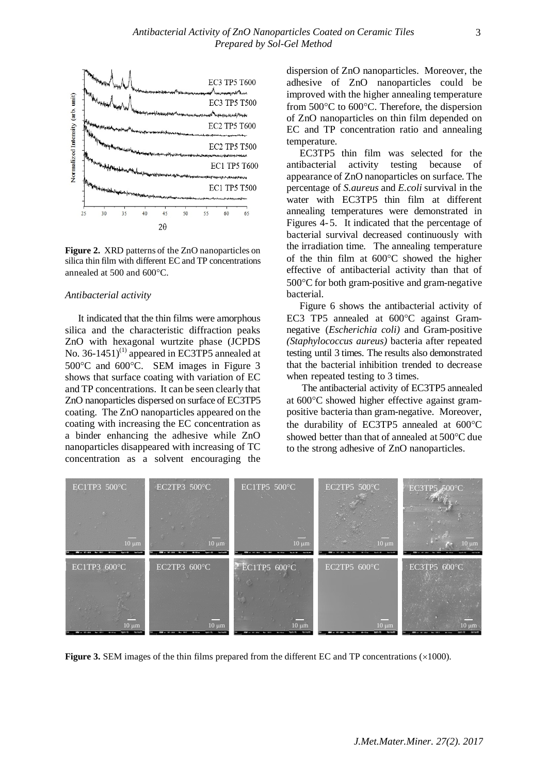

**Figure 2.** XRD patterns of the ZnO nanoparticles on silica thin film with different EC and TP concentrations annealed at  $500$  and  $600^{\circ}$ C.

#### *Antibacterial activity*

It indicated that the thin films were amorphous silica and the characteristic diffraction peaks ZnO with hexagonal wurtzite phase (JCPDS No. 36-1451)<sup>(1)</sup> appeared in EC3TP5 annealed at  $500^{\circ}$ C and  $600^{\circ}$ C. SEM images in Figure 3 shows that surface coating with variation of EC and TP concentrations. It can be seen clearly that ZnO nanoparticles dispersed on surface of EC3TP5 coating. The ZnO nanoparticles appeared on the coating with increasing the EC concentration as a binder enhancing the adhesive while ZnO nanoparticles disappeared with increasing of TC concentration as a solvent encouraging the

dispersion of ZnO nanoparticles. Moreover, the adhesive of ZnO nanoparticles could be improved with the higher annealing temperature from  $500^{\circ}$ C to  $600^{\circ}$ C. Therefore, the dispersion of ZnO nanoparticles on thin film depended on EC and TP concentration ratio and annealing temperature.

EC3TP5 thin film was selected for the antibacterial activity testing because of appearance of ZnO nanoparticles on surface. The percentage of *S.aureus* and *E.coli* survival in the water with EC3TP5 thin film at different annealing temperatures were demonstrated in Figures 4-5. It indicated that the percentage of bacterial survival decreased continuously with the irradiation time. The annealing temperature of the thin film at  $600^{\circ}$ C showed the higher effective of antibacterial activity than that of  $500^{\circ}$ C for both gram-positive and gram-negative bacterial.

Figure 6 shows the antibacterial activity of EC3 TP5 annealed at 600°C against Gramnegative (*Escherichia coli)* and Gram-positive *(Staphylococcus aureus)* bacteria after repeated testing until 3 times. The results also demonstrated that the bacterial inhibition trended to decrease when repeated testing to 3 times.

 The antibacterial activity of EC3TP5 annealed at 600C showed higher effective against grampositive bacteria than gram-negative. Moreover, the durability of EC3TP5 annealed at  $600^{\circ}$ C showed better than that of annealed at  $500^{\circ}$ C due to the strong adhesive of ZnO nanoparticles.



**Figure 3.** SEM images of the thin films prepared from the different EC and TP concentrations  $(\times 1000)$ .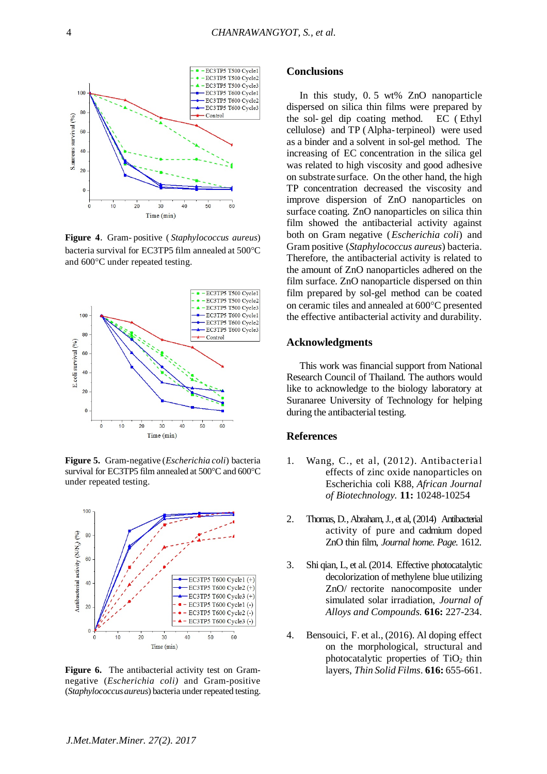

**Figure 4.** Gram- positive ( *Staphylococcus aureus*) bacteria survival for EC3TP5 film annealed at 500°C and 600°C under repeated testing.



**Figure 5.** Gram-negative (*Escherichia coli*) bacteria survival for EC3TP5 film annealed at  $500^{\circ}$ C and  $600^{\circ}$ C under repeated testing.



**Figure 6.** The antibacterial activity test on Gramnegative (*Escherichia coli)* and Gram-positive (*Staphylococcus aureus*) bacteria under repeated testing.

#### **Conclusions**

In this study, 0. 5 wt% ZnO nanoparticle dispersed on silica thin films were prepared by the sol- gel dip coating method. EC ( Ethyl cellulose) and TP (Alpha-terpineol) were used as a binder and a solvent in sol-gel method. The increasing of EC concentration in the silica gel was related to high viscosity and good adhesive on substrate surface. On the other hand, the high TP concentration decreased the viscosity and improve dispersion of ZnO nanoparticles on surface coating. ZnO nanoparticles on silica thin film showed the antibacterial activity against both on Gram negative (*Escherichia coli*) and Gram positive (*Staphylococcus aureus*) bacteria. Therefore, the antibacterial activity is related to the amount of ZnO nanoparticles adhered on the film surface. ZnO nanoparticle dispersed on thin film prepared by sol-gel method can be coated on ceramic tiles and annealed at 600°C presented the effective antibacterial activity and durability.

## **Acknowledgments**

This work was financial support from National Research Council of Thailand. The authors would like to acknowledge to the biology laboratory at Suranaree University of Technology for helping during the antibacterial testing.

## **References**

- 1. Wang, C., et al, (2012). Antibacterial effects of zinc oxide nanoparticles on Escherichia coli K88, *African Journal of Biotechnology.* **11:** 10248-10254
- 2. Thomas, D.,Abraham, J., et al, (2014) Antibacterial activity of pure and cadmium doped ZnO thin film, *Journal home. Page.* 1612.
- 3. Shi qian, L, et al.(2014. Effective photocatalytic decolorization of methylene blue utilizing ZnO/ rectorite nanocomposite under simulated solar irradiation, *Journal of Alloys and Compounds.* **616:** 227-234.
- 4. Bensouici, F. et al., (2016). Al doping effect on the morphological, structural and photocatalytic properties of  $TiO<sub>2</sub>$  thin layers, *Thin Solid Films*. **616:** 655-661.